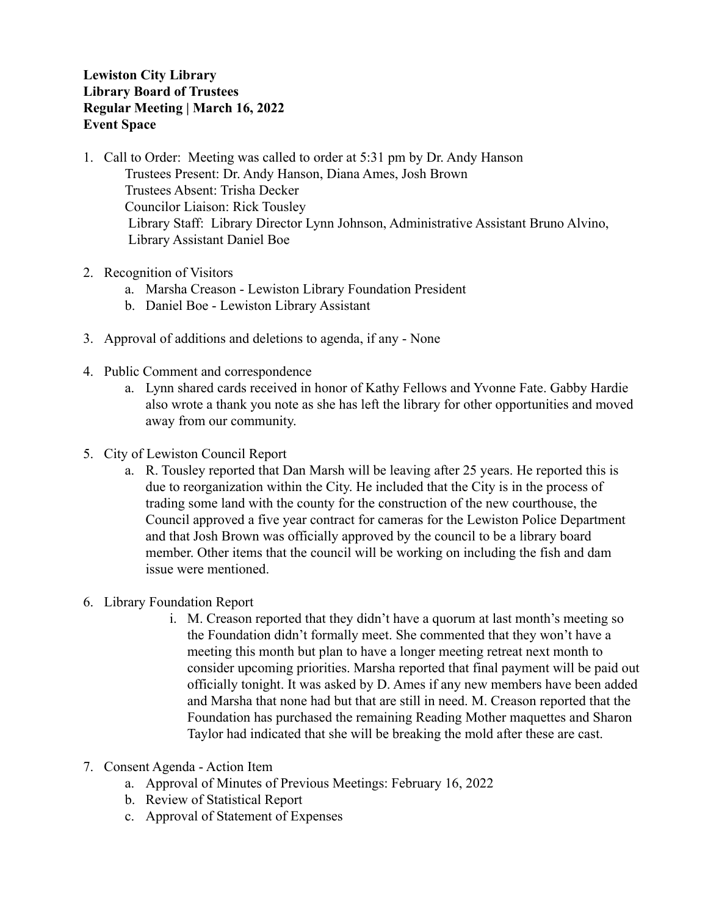## **Lewiston City Library Library Board of Trustees Regular Meeting | March 16, 2022 Event Space**

- 1. Call to Order: Meeting was called to order at 5:31 pm by Dr. Andy Hanson Trustees Present: Dr. Andy Hanson, Diana Ames, Josh Brown Trustees Absent: Trisha Decker Councilor Liaison: Rick Tousley Library Staff: Library Director Lynn Johnson, Administrative Assistant Bruno Alvino, Library Assistant Daniel Boe
- 2. Recognition of Visitors
	- a. Marsha Creason Lewiston Library Foundation President
	- b. Daniel Boe Lewiston Library Assistant
- 3. Approval of additions and deletions to agenda, if any None
- 4. Public Comment and correspondence
	- a. Lynn shared cards received in honor of Kathy Fellows and Yvonne Fate. Gabby Hardie also wrote a thank you note as she has left the library for other opportunities and moved away from our community.
- 5. City of Lewiston Council Report
	- a. R. Tousley reported that Dan Marsh will be leaving after 25 years. He reported this is due to reorganization within the City. He included that the City is in the process of trading some land with the county for the construction of the new courthouse, the Council approved a five year contract for cameras for the Lewiston Police Department and that Josh Brown was officially approved by the council to be a library board member. Other items that the council will be working on including the fish and dam issue were mentioned.
- 6. Library Foundation Report
	- i. M. Creason reported that they didn't have a quorum at last month's meeting so the Foundation didn't formally meet. She commented that they won't have a meeting this month but plan to have a longer meeting retreat next month to consider upcoming priorities. Marsha reported that final payment will be paid out officially tonight. It was asked by D. Ames if any new members have been added and Marsha that none had but that are still in need. M. Creason reported that the Foundation has purchased the remaining Reading Mother maquettes and Sharon Taylor had indicated that she will be breaking the mold after these are cast.
- 7. Consent Agenda Action Item
	- a. Approval of Minutes of Previous Meetings: February 16, 2022
	- b. Review of Statistical Report
	- c. Approval of Statement of Expenses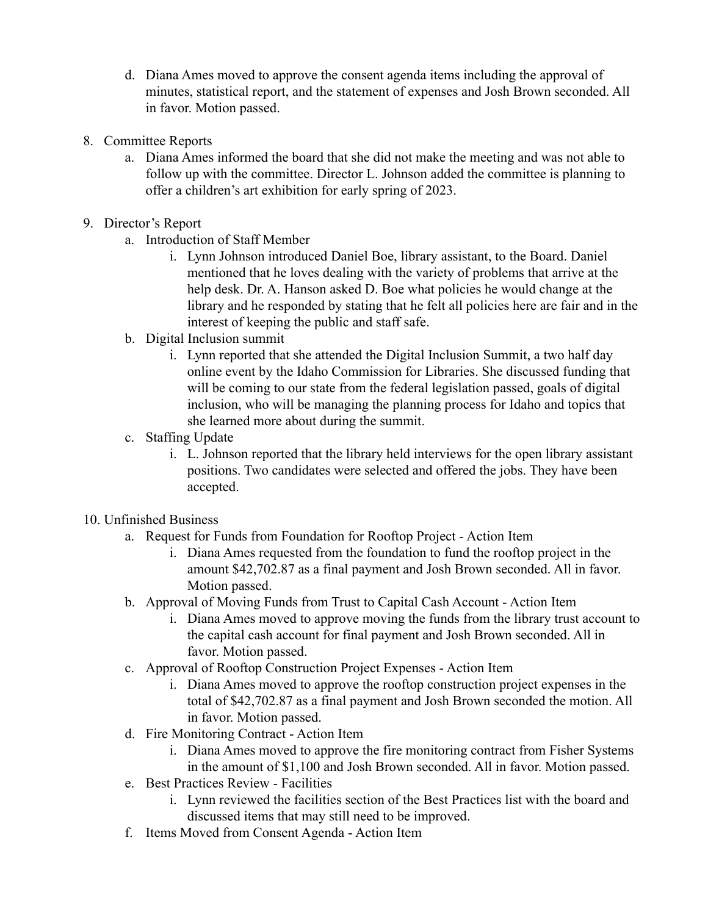- d. Diana Ames moved to approve the consent agenda items including the approval of minutes, statistical report, and the statement of expenses and Josh Brown seconded. All in favor. Motion passed.
- 8. Committee Reports
	- a. Diana Ames informed the board that she did not make the meeting and was not able to follow up with the committee. Director L. Johnson added the committee is planning to offer a children's art exhibition for early spring of 2023.
- 9. Director's Report
	- a. Introduction of Staff Member
		- i. Lynn Johnson introduced Daniel Boe, library assistant, to the Board. Daniel mentioned that he loves dealing with the variety of problems that arrive at the help desk. Dr. A. Hanson asked D. Boe what policies he would change at the library and he responded by stating that he felt all policies here are fair and in the interest of keeping the public and staff safe.
	- b. Digital Inclusion summit
		- i. Lynn reported that she attended the Digital Inclusion Summit, a two half day online event by the Idaho Commission for Libraries. She discussed funding that will be coming to our state from the federal legislation passed, goals of digital inclusion, who will be managing the planning process for Idaho and topics that she learned more about during the summit.
	- c. Staffing Update
		- i. L. Johnson reported that the library held interviews for the open library assistant positions. Two candidates were selected and offered the jobs. They have been accepted.
- 10. Unfinished Business
	- a. Request for Funds from Foundation for Rooftop Project Action Item
		- i. Diana Ames requested from the foundation to fund the rooftop project in the amount \$42,702.87 as a final payment and Josh Brown seconded. All in favor. Motion passed.
	- b. Approval of Moving Funds from Trust to Capital Cash Account Action Item
		- i. Diana Ames moved to approve moving the funds from the library trust account to the capital cash account for final payment and Josh Brown seconded. All in favor. Motion passed.
	- c. Approval of Rooftop Construction Project Expenses Action Item
		- i. Diana Ames moved to approve the rooftop construction project expenses in the total of \$42,702.87 as a final payment and Josh Brown seconded the motion. All in favor. Motion passed.
	- d. Fire Monitoring Contract Action Item
		- i. Diana Ames moved to approve the fire monitoring contract from Fisher Systems in the amount of \$1,100 and Josh Brown seconded. All in favor. Motion passed.
	- e. Best Practices Review Facilities
		- i. Lynn reviewed the facilities section of the Best Practices list with the board and discussed items that may still need to be improved.
	- f. Items Moved from Consent Agenda Action Item